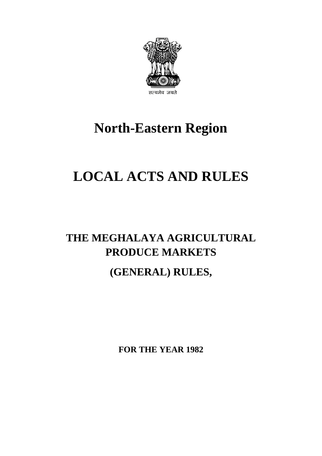

# **North-Eastern Region**

# **LOCAL ACTS AND RULES**

# **THE MEGHALAYA AGRICULTURAL PRODUCE MARKETS**

# **(GENERAL) RULES,**

**FOR THE YEAR 1982**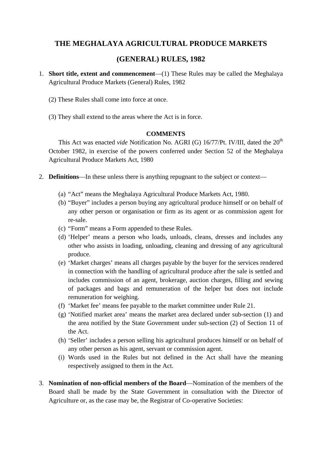# **THE MEGHALAYA AGRICULTURAL PRODUCE MARKETS**

# **(GENERAL) RULES, 1982**

- 1. **Short title, extent and commencement**—(1) These Rules may be called the Meghalaya Agricultural Produce Markets (General) Rules, 1982
	- (2) These Rules shall come into force at once.
	- (3) They shall extend to the areas where the Act is in force.

#### **COMMENTS**

This Act was enacted *vide* Notification No. AGRI (G) 16/77/Pt. IV/III, dated the 20<sup>th</sup> October 1982, in exercise of the powers conferred under Section 52 of the Meghalaya Agricultural Produce Markets Act, 1980

- 2. **Definitions**—In these unless there is anything repugnant to the subject or context—
	- (a) "Act" means the Meghalaya Agricultural Produce Markets Act, 1980.
	- (b) "Buyer" includes a person buying any agricultural produce himself or on behalf of any other person or organisation or firm as its agent or as commission agent for re-sale.
	- (c) "Form" means a Form appended to these Rules.
	- (d) 'Helper' means a person who loads, unloads, cleans, dresses and includes any other who assists in loading, unloading, cleaning and dressing of any agricultural produce.
	- of packages and bags and remuneration of the helper but does not include (e) 'Market charges' means all charges payable by the buyer for the services rendered in connection with the handling of agricultural produce after the sale is settled and includes commission of an agent, brokerage, auction charges, filling and sewing remuneration for weighing.
	- (f) 'Market fee' means fee payable to the market committee under Rule 21.
	- (g) 'Notified market area' means the market area declared under sub-section (1) and the area notified by the State Government under sub-section (2) of Section 11 of the Act.
	- (h) 'Seller' includes a person selling his agricultural produces himself or on behalf of any other person as his agent, servant or commission agent.
	- (i) Words used in the Rules but not defined in the Act shall have the meaning respectively assigned to them in the Act.
- 3. **Nomination of non-official members of the Board**—Nomination of the members of the Board shall be made by the State Government in consultation with the Director of Agriculture or, as the case may be, the Registrar of Co-operative Societies: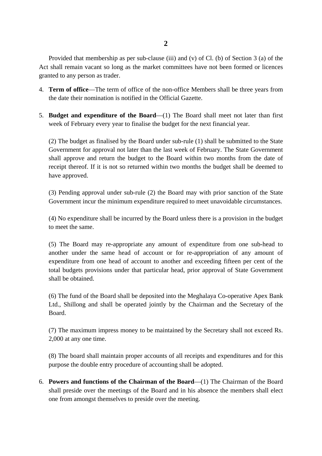Provided that membership as per sub-clause (iii) and (v) of Cl. (b) of Section 3 (a) of the Act shall remain vacant so long as the market committees have not been formed or licences granted to any person as trader.

- 4. **Term of office**—The term of office of the non-office Members shall be three years from the date their nomination is notified in the Official Gazette.
- 5. **Budget and expenditure of the Board**—(1) The Board shall meet not later than first week of February every year to finalise the budget for the next financial year.

(2) The budget as finalised by the Board under sub-rule (1) shall be submitted to the State Government for approval not later than the last week of February. The State Government shall approve and return the budget to the Board within two months from the date of receipt thereof. If it is not so returned within two months the budget shall be deemed to have approved.

 (3) Pending approval under sub-rule (2) the Board may with prior sanction of the State Government incur the minimum expenditure required to meet unavoidable circumstances.

(4) No expenditure shall be incurred by the Board unless there is a provision in the budget to meet the same.

 another under the same head of account or for re-appropriation of any amount of expenditure from one head of account to another and exceeding fifteen per cent of the (5) The Board may re-appropriate any amount of expenditure from one sub-head to total budgets provisions under that particular head, prior approval of State Government shall be obtained.

(6) The fund of the Board shall be deposited into the Meghalaya Co-operative Apex Bank Ltd., Shillong and shall be operated jointly by the Chairman and the Secretary of the Board.

(7) The maximum impress money to be maintained by the Secretary shall not exceed Rs. 2,000 at any one time.

 (8) The board shall maintain proper accounts of all receipts and expenditures and for this purpose the double entry procedure of accounting shall be adopted.

 shall preside over the meetings of the Board and in his absence the members shall elect one from amongst themselves to preside over the meeting. 6. **Powers and functions of the Chairman of the Board**—(1) The Chairman of the Board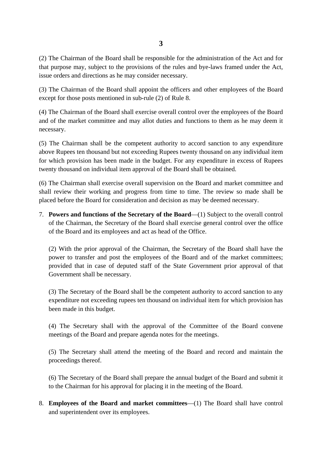(2) The Chairman of the Board shall be responsible for the administration of the Act and for that purpose may, subject to the provisions of the rules and bye-laws framed under the Act, issue orders and directions as he may consider necessary.

(3) The Chairman of the Board shall appoint the officers and other employees of the Board except for those posts mentioned in sub-rule (2) of Rule 8.

 (4) The Chairman of the Board shall exercise overall control over the employees of the Board and of the market committee and may allot duties and functions to them as he may deem it necessary.

 above Rupees ten thousand but not exceeding Rupees twenty thousand on any individual item twenty thousand on individual item approval of the Board shall be obtained. (5) The Chairman shall be the competent authority to accord sanction to any expenditure for which provision has been made in the budget. For any expenditure in excess of Rupees

 shall review their working and progress from time to time. The review so made shall be (6) The Chairman shall exercise overall supervision on the Board and market committee and placed before the Board for consideration and decision as may be deemed necessary.

 of the Chairman, the Secretary of the Board shall exercise general control over the office 7. **Powers and functions of the Secretary of the Board**—(1) Subject to the overall control of the Board and its employees and act as head of the Office.

(2) With the prior approval of the Chairman, the Secretary of the Board shall have the power to transfer and post the employees of the Board and of the market committees; provided that in case of deputed staff of the State Government prior approval of that Government shall be necessary.

 (3) The Secretary of the Board shall be the competent authority to accord sanction to any expenditure not exceeding rupees ten thousand on individual item for which provision has been made in this budget.

(4) The Secretary shall with the approval of the Committee of the Board convene meetings of the Board and prepare agenda notes for the meetings.

 proceedings thereof. (5) The Secretary shall attend the meeting of the Board and record and maintain the

 (6) The Secretary of the Board shall prepare the annual budget of the Board and submit it to the Chairman for his approval for placing it in the meeting of the Board.

8. **Employees of the Board and market committees**—(1) The Board shall have control and superintendent over its employees.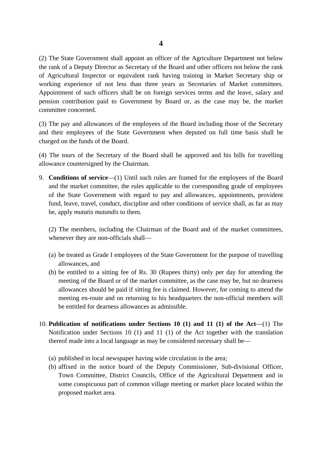(2) The State Government shall appoint an officer of the Agriculture Department not below the rank of a Deputy Director as Secretary of the Board and other officers not below the rank of Agricultural Inspector or equivalent rank having training in Market Secretary ship or working experience of not less than three years as Secretaries of Market committees. Appointment of such officers shall be on foreign services terms and the leave, salary and pension contribution paid to Government by Board or, as the case may be, the market committee concerned.

(3) The pay and allowances of the employees of the Board including those of the Secretary and their employees of the State Government when deputed on full time basis shall be charged on the funds of the Board.

(4) The tours of the Secretary of the Board shall be approved and his bills for travelling allowance countersigned by the Chairman.

 fund, leave, travel, conduct, discipline and other conditions of service shall, as far as may be, apply *mutatis mutandis* to them. 9. **Conditions of service**—(1) Until such rules are framed for the employees of the Board and the market committee, the rules applicable to the corresponding grade of employees of the State Government with regard to pay and allowances, appointments, provident

(2) The members, including the Chairman of the Board and of the market committees, whenever they are non-officials shall—

- (a) be treated as Grade I employees of the State Government for the purpose of travelling allowances, and
- (b) be entitled to a sitting fee of Rs. 30 (Rupees thirty) only per day for attending the meeting of the Board or of the market committee, as the case may be, but no dearness allowances should be paid if sitting fee is claimed. However, for coming to attend the meeting en-route and on returning to his headquarters the non-official members will be entitled for dearness allowances as admissible.
- 10. **Publication of notifications under Sections 10 (1) and 11 (1) of the Act**—(1) The Notification under Sections 10 (1) and 11 (1) of the Act together with the translation thereof made into a local language as may be considered necessary shall be—
	- (a) published in local newspaper having wide circulation in the area;
	- (b) affixed in the notice board of the Deputy Commissioner, Sub-divisional Officer, Town Committee, District Councils, Office of the Agricultural Department and in some conspicuous part of common village meeting or market place located within the proposed market area.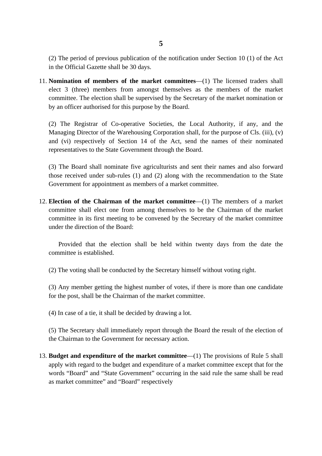(2) The period of previous publication of the notification under Section 10 (1) of the Act in the Official Gazette shall be 30 days.

11. **Nomination of members of the market committees**—(1) The licensed traders shall elect 3 (three) members from amongst themselves as the members of the market committee. The election shall be supervised by the Secretary of the market nomination or by an officer authorised for this purpose by the Board.

 Managing Director of the Warehousing Corporation shall, for the purpose of Cls. (iii), (v) (2) The Registrar of Co-operative Societies, the Local Authority, if any, and the and (vi) respectively of Section 14 of the Act, send the names of their nominated representatives to the State Government through the Board.

(3) The Board shall nominate five agriculturists and sent their names and also forward those received under sub-rules (1) and (2) along with the recommendation to the State Government for appointment as members of a market committee.

12. **Election of the Chairman of the market committee**—(1) The members of a market committee shall elect one from among themselves to be the Chairman of the market committee in its first meeting to be convened by the Secretary of the market committee under the direction of the Board:

 Provided that the election shall be held within twenty days from the date the committee is established.

(2) The voting shall be conducted by the Secretary himself without voting right.

 for the post, shall be the Chairman of the market committee. (3) Any member getting the highest number of votes, if there is more than one candidate

(4) In case of a tie, it shall be decided by drawing a lot.

(5) The Secretary shall immediately report through the Board the result of the election of the Chairman to the Government for necessary action.

 apply with regard to the budget and expenditure of a market committee except that for the 13. **Budget and expenditure of the market committee**—(1) The provisions of Rule 5 shall words "Board" and "State Government" occurring in the said rule the same shall be read as market committee" and "Board" respectively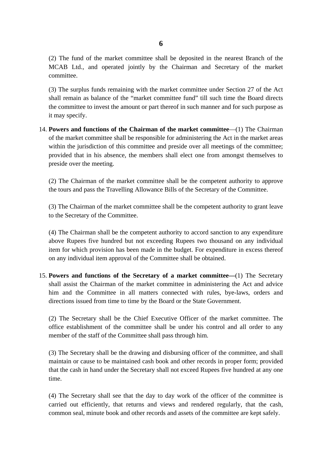MCAB Ltd., and operated jointly by the Chairman and Secretary of the market (2) The fund of the market committee shall be deposited in the nearest Branch of the committee.

(3) The surplus funds remaining with the market committee under Section 27 of the Act shall remain as balance of the "market committee fund" till such time the Board directs the committee to invest the amount or part thereof in such manner and for such purpose as it may specify.

 within the jurisdiction of this committee and preside over all meetings of the committee; 14. **Powers and functions of the Chairman of the market committee**—(1) The Chairman of the market committee shall be responsible for administering the Act in the market areas provided that in his absence, the members shall elect one from amongst themselves to preside over the meeting.

(2) The Chairman of the market committee shall be the competent authority to approve the tours and pass the Travelling Allowance Bills of the Secretary of the Committee.

 (3) The Chairman of the market committee shall be the competent authority to grant leave to the Secretary of the Committee.

 item for which provision has been made in the budget. For expenditure in excess thereof (4) The Chairman shall be the competent authority to accord sanction to any expenditure above Rupees five hundred but not exceeding Rupees two thousand on any individual on any individual item approval of the Committee shall be obtained.

15. **Powers and functions of the Secretary of a market committee—**(1) The Secretary shall assist the Chairman of the market committee in administering the Act and advice him and the Committee in all matters connected with rules, bye-laws, orders and directions issued from time to time by the Board or the State Government.

 (2) The Secretary shall be the Chief Executive Officer of the market committee. The office establishment of the committee shall be under his control and all order to any member of the staff of the Committee shall pass through him.

 that the cash in hand under the Secretary shall not exceed Rupees five hundred at any one (3) The Secretary shall be the drawing and disbursing officer of the committee, and shall maintain or cause to be maintained cash book and other records in proper form; provided time.

 carried out efficiently, that returns and views and rendered regularly, that the cash, (4) The Secretary shall see that the day to day work of the officer of the committee is common seal, minute book and other records and assets of the committee are kept safely.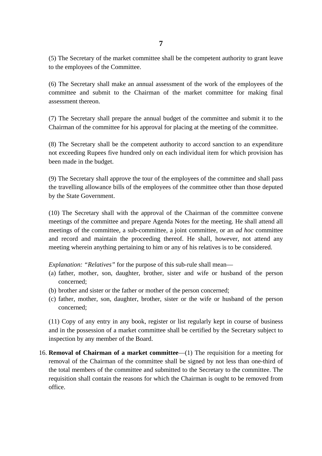**7**

(5) The Secretary of the market committee shall be the competent authority to grant leave to the employees of the Committee.

(6) The Secretary shall make an annual assessment of the work of the employees of the committee and submit to the Chairman of the market committee for making final assessment thereon.

(7) The Secretary shall prepare the annual budget of the committee and submit it to the Chairman of the committee for his approval for placing at the meeting of the committee.

(8) The Secretary shall be the competent authority to accord sanction to an expenditure not exceeding Rupees five hundred only on each individual item for which provision has been made in the budget.

(9) The Secretary shall approve the tour of the employees of the committee and shall pass the travelling allowance bills of the employees of the committee other than those deputed by the State Government.

 meetings of the committee and prepare Agenda Notes for the meeting. He shall attend all (10) The Secretary shall with the approval of the Chairman of the committee convene meetings of the committee, a sub-committee, a joint committee, or an *ad hoc* committee and record and maintain the proceeding thereof. He shall, however, not attend any meeting wherein anything pertaining to him or any of his relatives is to be considered.

*Explanation: "Relatives"* for the purpose of this sub-rule shall mean—

- (a) father, mother, son, daughter, brother, sister and wife or husband of the person concerned;
- (b) brother and sister or the father or mother of the person concerned;
- (c) father, mother, son, daughter, brother, sister or the wife or husband of the person concerned;

(11) Copy of any entry in any book, register or list regularly kept in course of business and in the possession of a market committee shall be certified by the Secretary subject to inspection by any member of the Board.

 removal of the Chairman of the committee shall be signed by not less than one-third of 16. **Removal of Chairman of a market committee**—(1) The requisition for a meeting for the total members of the committee and submitted to the Secretary to the committee. The requisition shall contain the reasons for which the Chairman is ought to be removed from office.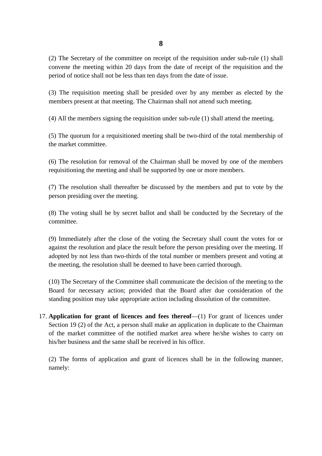**8**

 (2) The Secretary of the committee on receipt of the requisition under sub-rule (1) shall convene the meeting within 20 days from the date of receipt of the requisition and the period of notice shall not be less than ten days from the date of issue.

(3) The requisition meeting shall be presided over by any member as elected by the members present at that meeting. The Chairman shall not attend such meeting.

(4) All the members signing the requisition under sub-rule (1) shall attend the meeting.

(5) The quorum for a requisitioned meeting shall be two-third of the total membership of the market committee.

(6) The resolution for removal of the Chairman shall be moved by one of the members requisitioning the meeting and shall be supported by one or more members.

(7) The resolution shall thereafter be discussed by the members and put to vote by the person presiding over the meeting.

(8) The voting shall be by secret ballot and shall be conducted by the Secretary of the committee.

 adopted by not less than two-thirds of the total number or members present and voting at (9) Immediately after the close of the voting the Secretary shall count the votes for or against the resolution and place the result before the person presiding over the meeting. If the meeting, the resolution shall be deemed to have been carried thorough.

(10) The Secretary of the Committee shall communicate the decision of the meeting to the Board for necessary action; provided that the Board after due consideration of the standing position may take appropriate action including dissolution of the committee.

 of the market committee of the notified market area where he/she wishes to carry on 17. **Application for grant of licences and fees thereof**—(1) For grant of licences under Section 19 (2) of the Act, a person shall make an application in duplicate to the Chairman his/her business and the same shall be received in his office.

(2) The forms of application and grant of licences shall be in the following manner, namely: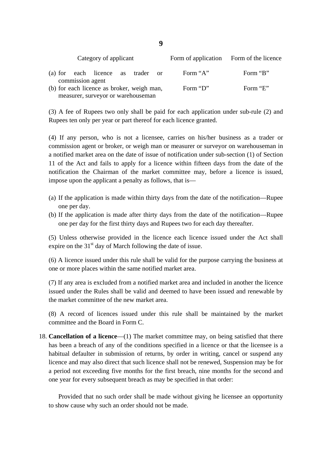| Category of applicant                                          |  | Form of application Form of the licence |          |
|----------------------------------------------------------------|--|-----------------------------------------|----------|
| (a) for each licence as trader or                              |  | Form "A"                                | Form "B" |
| commission agent<br>(b) for each licence as broker, weigh man, |  | Form "D"                                | Form "E" |
| measurer, surveyor or warehouseman                             |  |                                         |          |

(3) A fee of Rupees two only shall be paid for each application under sub-rule (2) and Rupees ten only per year or part thereof for each licence granted.

(4) If any person, who is not a licensee, carries on his/her business as a trader or commission agent or broker, or weigh man or measurer or surveyor on warehouseman in a notified market area on the date of issue of notification under sub-section (1) of Section 11 of the Act and fails to apply for a licence within fifteen days from the date of the notification the Chairman of the market committee may, before a licence is issued, impose upon the applicant a penalty as follows, that is—

- (a) If the application is made within thirty days from the date of the notification—Rupee one per day.
- (b) If the application is made after thirty days from the date of the notification—Rupee one per day for the first thirty days and Rupees two for each day thereafter.

 (5) Unless otherwise provided in the licence each licence issued under the Act shall expire on the  $31<sup>st</sup>$  day of March following the date of issue.

(6) A licence issued under this rule shall be valid for the purpose carrying the business at one or more places within the same notified market area.

 (7) If any area is excluded from a notified market area and included in another the licence issued under the Rules shall be valid and deemed to have been issued and renewable by the market committee of the new market area.

committee and the Board in Form C. (8) A record of licences issued under this rule shall be maintained by the market

18. **Cancellation of a licence**—(1) The market committee may, on being satisfied that there has been a breach of any of the conditions specified in a licence or that the licensee is a habitual defaulter in submission of returns, by order in writing, cancel or suspend any licence and may also direct that such licence shall not be renewed, Suspension may be for a period not exceeding five months for the first breach, nine months for the second and one year for every subsequent breach as may be specified in that order:

 Provided that no such order shall be made without giving he licensee an opportunity to show cause why such an order should not be made.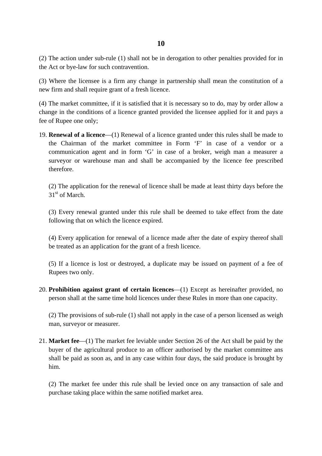(2) The action under sub-rule (1) shall not be in derogation to other penalties provided for in the Act or bye-law for such contravention.

 (3) Where the licensee is a firm any change in partnership shall mean the constitution of a new firm and shall require grant of a fresh licence.

(4) The market committee, if it is satisfied that it is necessary so to do, may by order allow a change in the conditions of a licence granted provided the licensee applied for it and pays a fee of Rupee one only;

19. **Renewal of a licence**—(1) Renewal of a licence granted under this rules shall be made to the Chairman of the market committee in Form 'F' in case of a vendor or a communication agent and in form 'G' in case of a broker, weigh man a measurer a surveyor or warehouse man and shall be accompanied by the licence fee prescribed therefore.

31<sup>st</sup> of March. (2) The application for the renewal of licence shall be made at least thirty days before the

 following that on which the licence expired. (3) Every renewal granted under this rule shall be deemed to take effect from the date

(4) Every application for renewal of a licence made after the date of expiry thereof shall be treated as an application for the grant of a fresh licence.

(5) If a licence is lost or destroyed, a duplicate may be issued on payment of a fee of Rupees two only.

 person shall at the same time hold licences under these Rules in more than one capacity. 20. **Prohibition against grant of certain licences**—(1) Except as hereinafter provided, no

(2) The provisions of sub-rule (1) shall not apply in the case of a person licensed as weigh man, surveyor or measurer.

 buyer of the agricultural produce to an officer authorised by the market committee ans 21. **Market fee**—(1) The market fee leviable under Section 26 of the Act shall be paid by the shall be paid as soon as, and in any case within four days, the said produce is brought by him.

 (2) The market fee under this rule shall be levied once on any transaction of sale and purchase taking place within the same notified market area.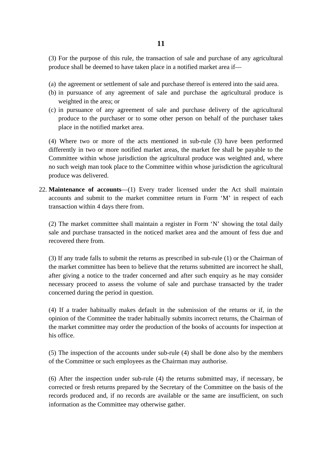(3) For the purpose of this rule, the transaction of sale and purchase of any agricultural produce shall be deemed to have taken place in a notified market area if—

- (a) the agreement or settlement of sale and purchase thereof is entered into the said area.
- (b) in pursuance of any agreement of sale and purchase the agricultural produce is weighted in the area; or
- (c) in pursuance of any agreement of sale and purchase delivery of the agricultural produce to the purchaser or to some other person on behalf of the purchaser takes place in the notified market area.

(4) Where two or more of the acts mentioned in sub-rule (3) have been performed differently in two or more notified market areas, the market fee shall be payable to the Committee within whose jurisdiction the agricultural produce was weighted and, where no such weigh man took place to the Committee within whose jurisdiction the agricultural produce was delivered.

 accounts and submit to the market committee return in Form 'M' in respect of each 22. **Maintenance of accounts**—(1) Every trader licensed under the Act shall maintain transaction within 4 days there from.

(2) The market committee shall maintain a register in Form 'N' showing the total daily sale and purchase transacted in the noticed market area and the amount of fess due and recovered there from.

 the market committee has been to believe that the returns submitted are incorrect he shall, (3) If any trade falls to submit the returns as prescribed in sub-rule (1) or the Chairman of after giving a notice to the trader concerned and after such enquiry as he may consider necessary proceed to assess the volume of sale and purchase transacted by the trader concerned during the period in question.

(4) If a trader habitually makes default in the submission of the returns or if, in the opinion of the Committee the trader habitually submits incorrect returns, the Chairman of the market committee may order the production of the books of accounts for inspection at his office.

(5) The inspection of the accounts under sub-rule (4) shall be done also by the members of the Committee or such employees as the Chairman may authorise.

(6) After the inspection under sub-rule (4) the returns submitted may, if necessary, be corrected or fresh returns prepared by the Secretary of the Committee on the basis of the records produced and, if no records are available or the same are insufficient, on such information as the Committee may otherwise gather.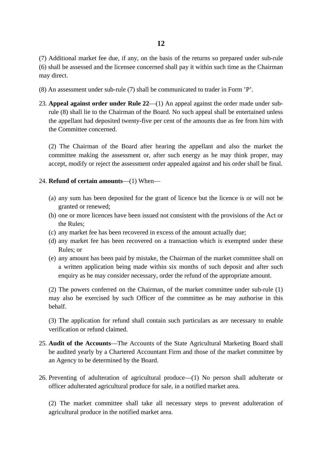(7) Additional market fee due, if any, on the basis of the returns so prepared under sub-rule (6) shall be assessed and the licensee concerned shall pay it within such time as the Chairman may direct.

- (8) An assessment under sub-rule (7) shall be communicated to trader in Form 'P'.
- the appellant had deposited twenty-five per cent of the amounts due as fee from him with 23. **Appeal against order under Rule 22**—(1) An appeal against the order made under subrule (8) shall lie to the Chairman of the Board. No such appeal shall be entertained unless the Committee concerned.

 (2) The Chairman of the Board after hearing the appellant and also the market the committee making the assessment or, after such energy as he may think proper, may accept, modify or reject the assessment order appealed against and his order shall be final.

#### 24. **Refund of certain amounts**—(1) When—

- (a) any sum has been deposited for the grant of licence but the licence is or will not be granted or renewed;
- (b) one or more licences have been issued not consistent with the provisions of the Act or the Rules;
- (c) any market fee has been recovered in excess of the amount actually due;
- (d) any market fee has been recovered on a transaction which is exempted under these Rules; or
- (e) any amount has been paid by mistake, the Chairman of the market committee shall on a written application being made within six months of such deposit and after such enquiry as he may consider necessary, order the refund of the appropriate amount.

 may also be exercised by such Officer of the committee as he may authorise in this (2) The powers conferred on the Chairman, of the market committee under sub-rule (1) behalf.

(3) The application for refund shall contain such particulars as are necessary to enable verification or refund claimed.

- 25. **Audit of the Accounts**—The Accounts of the State Agricultural Marketing Board shall be audited yearly by a Chartered Accountant Firm and those of the market committee by an Agency to be determined by the Board.
- officer adulterated agricultural produce for sale, in a notified market area. 26. Preventing of adulteration of agricultural produce—(1) No person shall adulterate or

 agricultural produce in the notified market area. (2) The market committee shall take all necessary steps to prevent adulteration of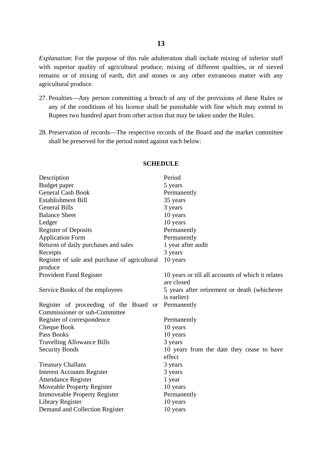remains or of mixing of earth, dirt and stones or any other extraneous matter with any *Explanation*: For the purpose of this rule adulteration shall include mixing of inferior stuff with superior quality of agricultural produce, mixing of different qualities, or of sieved agricultural produce.

- Rupees two hundred apart from other action that may be taken under the Rules. 27. Penalties—Any person committing a breach of any of the provisions of these Rules or any of the conditions of his licence shall be punishable with fine which may extend to
- 28. Preservation of records—The respective records of the Board and the market committee shall be preserved for the period noted against each below:

| Description                                   | Period                                            |
|-----------------------------------------------|---------------------------------------------------|
| Budget paper                                  | 5 years                                           |
| <b>General Cash Book</b>                      | Permanently                                       |
| <b>Establishment Bill</b>                     | 35 years                                          |
| <b>General Bills</b>                          | 3 years                                           |
| <b>Balance Sheet</b>                          | 10 years                                          |
| Ledger                                        | 10 years                                          |
| <b>Register of Deposits</b>                   | Permanently                                       |
| <b>Application Form</b>                       | Permanently                                       |
| Returns of daily purchases and sales          | 1 year after audit                                |
| Receipts                                      | 3 years                                           |
| Register of sale and purchase of agricultural | 10 years                                          |
| produce                                       |                                                   |
| Provident Fund Register                       | 10 years or till all accounts of which it relates |
|                                               | are closed                                        |
| Service Books of the employees                | 5 years after retirement or death (whichever      |
|                                               | is earlier)                                       |
| Register of proceeding of the Board or        | Permanently                                       |
| Commissioner or sub-Committee                 |                                                   |
| Register of correspondence                    | Permanently                                       |
| Cheque Book                                   | 10 years                                          |
| Pass Books                                    | 10 years                                          |
| <b>Travelling Allowance Bills</b>             | 3 years                                           |
| <b>Security Bonds</b>                         | 10 years from the date they cease to have         |
|                                               | effect                                            |
| <b>Treasury Challans</b>                      | 3 years                                           |
| <b>Interest Accounts Register</b>             | 3 years                                           |
| <b>Attendance Register</b>                    | 1 year                                            |
| <b>Moveable Property Register</b>             | 10 years                                          |
| <b>Immoveable Property Register</b>           | Permanently                                       |
| Library Register                              | 10 years                                          |
| Demand and Collection Register                | 10 years                                          |
|                                               |                                                   |

#### **SCHEDULE**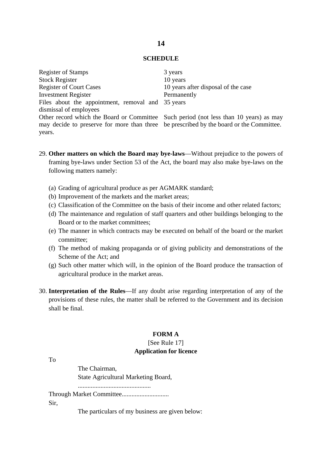#### **SCHEDULE**

| <b>Register of Stamps</b>                                                               | 3 years                             |
|-----------------------------------------------------------------------------------------|-------------------------------------|
| <b>Stock Register</b>                                                                   | 10 years                            |
| <b>Register of Court Cases</b>                                                          | 10 years after disposal of the case |
| <b>Investment Register</b>                                                              | Permanently                         |
| Files about the appointment, removal and 35 years                                       |                                     |
| dismissal of employees                                                                  |                                     |
| Other record which the Board or Committee Such period (not less than 10 years) as may   |                                     |
| may decide to preserve for more than three be prescribed by the board or the Committee. |                                     |
| years.                                                                                  |                                     |

- 29. **Other matters on which the Board may bye-laws**—Without prejudice to the powers of framing bye-laws under Section 53 of the Act, the board may also make bye-laws on the following matters namely:
	- (a) Grading of agricultural produce as per AGMARK standard;
	- (b) Improvement of the markets and the market areas;
	- (c) Classification of the Committee on the basis of their income and other related factors;
	- (d) The maintenance and regulation of staff quarters and other buildings belonging to the Board or to the market committees;
	- (e) The manner in which contracts may be executed on behalf of the board or the market committee;
	- (f) The method of making propaganda or of giving publicity and demonstrations of the Scheme of the Act; and
	- (g) Such other matter which will, in the opinion of the Board produce the transaction of agricultural produce in the market areas.
- 30. **Interpretation of the Rules**—If any doubt arise regarding interpretation of any of the provisions of these rules, the matter shall be referred to the Government and its decision shall be final.

#### **FORM A**

### [See Rule 17] **Application for licence**

To

Sir,

The Chairman, State Agricultural Marketing Board, ............................................. Through Market Committee.............................

The particulars of my business are given below: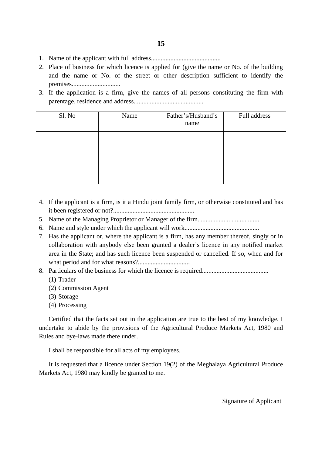- 1. Name of the applicant with full address...........................................
- 2. Place of business for which licence is applied for (give the name or No. of the building and the name or No. of the street or other description sufficient to identify the premises..............................
- 3. If the application is a firm, give the names of all persons constituting the firm with parentage, residence and address...........................................

| Sl. No | Name | Father's/Husband's<br>name | Full address |
|--------|------|----------------------------|--------------|
|        |      |                            |              |
|        |      |                            |              |
|        |      |                            |              |

- 4. If the applicant is a firm, is it a Hindu joint family firm, or otherwise constituted and has it been registered or not?..................................................
- 5. Name of the Managing Proprietor or Manager of the firm......................................
- 6. Name and style under which the applicant will work..............................................
- 7. Has the applicant or, where the applicant is a firm, has any member thereof, singly or in collaboration with anybody else been granted a dealer's licence in any notified market area in the State; and has such licence been suspended or cancelled. If so, when and for what period and for what reasons?................................
- 8. Particulars of the business for which the licence is required.........................................
	- (1) Trader
	- (2) Commission Agent (3) Storage (4) Processing
	- (3) Storage
	-

Certified that the facts set out in the application are true to the best of my knowledge. I undertake to abide by the provisions of the Agricultural Produce Markets Act, 1980 and Rules and bye-laws made there under.

I shall be responsible for all acts of my employees.

It is requested that a licence under Section 19(2) of the Meghalaya Agricultural Produce Markets Act, 1980 may kindly be granted to me.

Signature of Applicant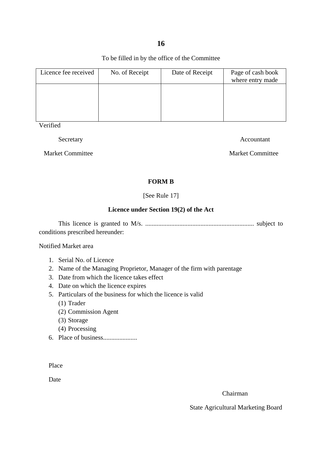**16** 

To be filled in by the office of the Committee

| Licence fee received | No. of Receipt | Date of Receipt | Page of cash book<br>where entry made |
|----------------------|----------------|-----------------|---------------------------------------|
|                      |                |                 |                                       |
|                      |                |                 |                                       |
|                      |                |                 |                                       |

Verified

Secretary Accountant

Market Committee Market Committee

# **FORM B**

[See Rule 17]

# **Licence under Section 19(2) of the Act**

 This licence is granted to M/s. ................................................................... subject to conditions prescribed hereunder:

Notified Market area

- 1. Serial No. of Licence
- 2. Name of the Managing Proprietor, Manager of the firm with parentage 3. Date from which the licence takes effect
- 
- 4. Date on which the licence expires
- 5. Particulars of the business for which the licence is valid
	- (1) Trader
	- (2) Commission Agent (3) Storage (4) Processing
	- (3) Storage
	-
- 6. Place of business.....................

Place

Date

Chairman

State Agricultural Marketing Board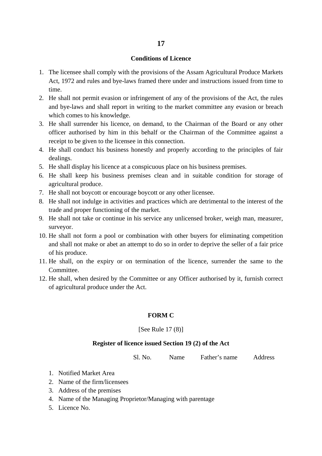#### **Conditions of Licence**

- 1. The licensee shall comply with the provisions of the Assam Agricultural Produce Markets Act, 1972 and rules and bye-laws framed there under and instructions issued from time to time.
- 2. He shall not permit evasion or infringement of any of the provisions of the Act, the rules and bye-laws and shall report in writing to the market committee any evasion or breach which comes to his knowledge.
- 3. He shall surrender his licence, on demand, to the Chairman of the Board or any other officer authorised by him in this behalf or the Chairman of the Committee against a receipt to be given to the licensee in this connection.
- 4. He shall conduct his business honestly and properly according to the principles of fair dealings.
- 5. He shall display his licence at a conspicuous place on his business premises.
- 6. He shall keep his business premises clean and in suitable condition for storage of agricultural produce.
- 7. He shall not boycott or encourage boycott or any other licensee.
- 8. He shall not indulge in activities and practices which are detrimental to the interest of the trade and proper functioning of the market.
- 9. He shall not take or continue in his service any unlicensed broker, weigh man, measurer, surveyor.
- 10. He shall not form a pool or combination with other buyers for eliminating competition and shall not make or abet an attempt to do so in order to deprive the seller of a fair price of his produce.
- 11. He shall, on the expiry or on termination of the licence, surrender the same to the Committee.
- 12. He shall, when desired by the Committee or any Officer authorised by it, furnish correct of agricultural produce under the Act.

#### **FORM C**

#### [See Rule 17 (8)]

#### **Register of licence issued Section 19 (2) of the Act**

Sl. No. Name Father's name Address

- 1. Notified Market Area
- 2. Name of the firm/licensees
- 3. Address of the premises
- 4. Name of the Managing Proprietor/Managing with parentage
- 5. Licence No.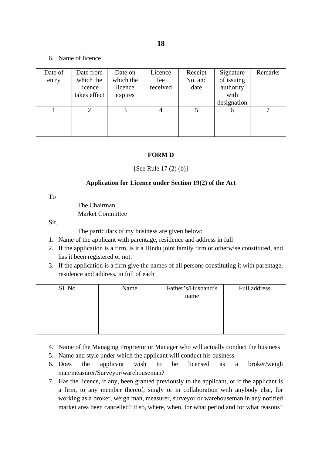6. Name of licence

| Date of<br>entry | Date from<br>which the<br>licence<br>takes effect | Date on<br>which the<br>licence<br>expires | Licence<br>fee<br>received | Receipt<br>No. and<br>date | Signature<br>of issuing<br>authority<br>with<br>designation | Remarks |
|------------------|---------------------------------------------------|--------------------------------------------|----------------------------|----------------------------|-------------------------------------------------------------|---------|
|                  |                                                   |                                            |                            |                            |                                                             |         |
|                  |                                                   |                                            |                            |                            |                                                             |         |

# **FORM D**

[See Rule 17 (2) (b)]

# **Application for Licence under Section 19(2) of the Act**

To

The Chairman, Market Committee

Sir,

The particulars of my business are given below:

- 1. Name of the applicant with parentage, residence and address in full
- 2. If the application is a firm, is it a Hindu joint family firm or otherwise constituted, and has it been registered or not:
- 3. If the application is a firm give the names of all persons constituting it with parentage, residence and address, in full of each

| Sl. No | Name | Father's/Husband's<br>name | Full address |
|--------|------|----------------------------|--------------|
|        |      |                            |              |

- 4. Name of the Managing Proprietor or Manager who will actually conduct the business
- 5. Name and style under which the applicant will conduct his business
- 6. Does the applicant wish to be licensed as a broker/weigh man/measurer/Surveyor/warehouseman?
- 7. Has the licence, if any, been granted previously to the applicant, or if the applicant is a firm, to any member thereof, singly or in collaboration with anybody else, for working as a broker, weigh man, measurer, surveyor or warehouseman in any notified market area been cancelled? if so, where, when, for what period and for what reasons?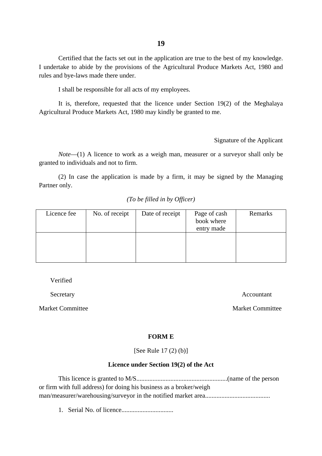Certified that the facts set out in the application are true to the best of my knowledge. I undertake to abide by the provisions of the Agricultural Produce Markets Act, 1980 and rules and bye-laws made there under.

I shall be responsible for all acts of my employees.

It is, therefore, requested that the licence under Section 19(2) of the Meghalaya Agricultural Produce Markets Act, 1980 may kindly be granted to me.

Signature of the Applicant

 *Note*—(1) A licence to work as a weigh man, measurer or a surveyor shall only be granted to individuals and not to firm.

(2) In case the application is made by a firm, it may be signed by the Managing Partner only.

#### *(To be filled in by Officer)*

| Licence fee | No. of receipt | Date of receipt | Page of cash<br>book where<br>entry made | Remarks |
|-------------|----------------|-----------------|------------------------------------------|---------|
|             |                |                 |                                          |         |

Verified

Market Committee Market Committee

Secretary Accountant Accountant Accountant Accountant Accountant Accountant Accountant Accountant Accountant Accountant Accountant Accountant Accountant Accountant Accountant Accountant Accountant Accountant Accountant Acc

#### **FORM E**

[See Rule 17 (2) (b)]

#### **Licence under Section 19(2) of the Act**

This licence is granted to M/S........................................................(name of the person or firm with full address) for doing his business as a broker/weigh man/measurer/warehousing/surveyor in the notified market area........................................

1. Serial No. of licence................................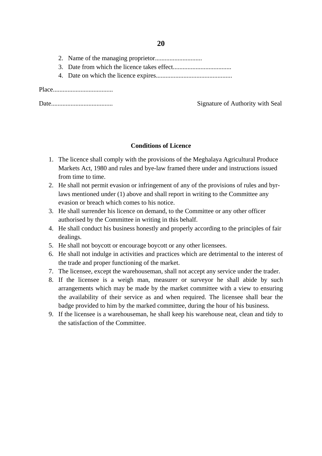- 2. Name of the managing proprietor.............................
- 3. Date from which the licence takes effect....................................
- 4. Date on which the licence expires...............................................

Place.....................................

Date...................................... Signature of Authority with Seal

# **Conditions of Licence**

- 1. The licence shall comply with the provisions of the Meghalaya Agricultural Produce Markets Act, 1980 and rules and bye-law framed there under and instructions issued from time to time.
- 2. He shall not permit evasion or infringement of any of the provisions of rules and byrlaws mentioned under (1) above and shall report in writing to the Committee any evasion or breach which comes to his notice.
- authorised by the Committee in writing in this behalf. 3. He shall surrender his licence on demand, to the Committee or any other officer
- 4. He shall conduct his business honestly and properly according to the principles of fair dealings.
- 5. He shall not boycott or encourage boycott or any other licensees.
- 6. He shall not indulge in activities and practices which are detrimental to the interest of the trade and proper functioning of the market.
- 7. The licensee, except the warehouseman, shall not accept any service under the trader.
- 8. If the licensee is a weigh man, measurer or surveyor he shall abide by such arrangements which may be made by the market committee with a view to ensuring the availability of their service as and when required. The licensee shall bear the badge provided to him by the marked committee, during the hour of his business.
- 9. If the licensee is a warehouseman, he shall keep his warehouse neat, clean and tidy to the satisfaction of the Committee.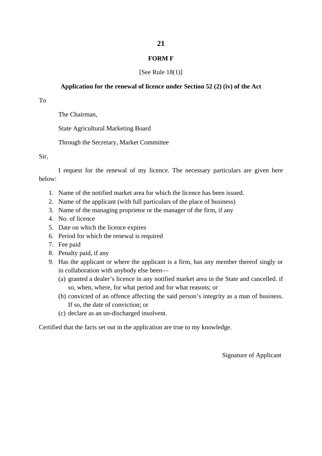# **21**

#### **FORM F**

### [See Rule  $18(1)$ ]

#### **Application for the renewal of licence under Section 52 (2) (iv) of the Act**

To

The Chairman,

State Agricultural Marketing Board

Through the Secretary, Market Committee

Sir,

I request for the renewal of my licence. The necessary particulars are given here below:

- 1. Name of the notified market area for which the licence has been issued.
- 2. Name of the applicant (with full particulars of the place of business)
- 3. Name of the managing proprietor or the manager of the firm, if any
- 4. No. of licence
- 5. Date on which the licence expires
- 6. Period for which the renewal is required
- 7. Fee paid
- 8. Penalty paid, if any
- 9. Has the applicant or where the applicant is a firm, has any member thereof singly or in collaboration with anybody else been—
	- (a) granted a dealer's licence in any notified market area in the State and cancelled. if so, when, where, for what period and for what reasons; or
	- (b) convicted of an offence affecting the said person's integrity as a man of business. If so, the date of conviction; or
	- (c) declare as an un-discharged insolvent.

Certified that the facts set out in the application are true to my knowledge.

Signature of Applicant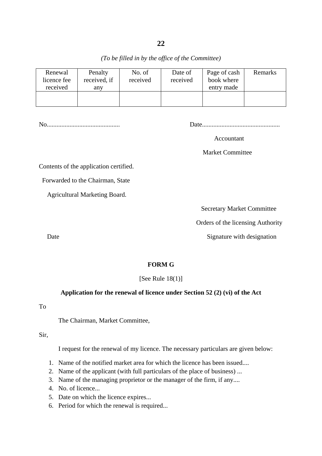*(To be filled in by the office of the Committee)* 

| Renewal<br>licence fee<br>received | Penalty<br>received, if<br>anv | No. of<br>received | Date of<br>received | Page of cash<br>book where<br>entry made | Remarks |
|------------------------------------|--------------------------------|--------------------|---------------------|------------------------------------------|---------|
|                                    |                                |                    |                     |                                          |         |

No............................................. Date................................................

Accountant

Market Committee

Contents of the application certified.

Forwarded to the Chairman, State

Agricultural Marketing Board.

Secretary Market Committee

Orders of the licensing Authority

Date Signature with designation

# **FORM G**

[See Rule  $18(1)$ ]

# **Application for the renewal of licence under Section 52 (2) (vi) of the Act**

To

The Chairman, Market Committee,

Sir,

I request for the renewal of my licence. The necessary particulars are given below:

- 1. Name of the notified market area for which the licence has been issued....
- 2. Name of the applicant (with full particulars of the place of business) ...
- 3. Name of the managing proprietor or the manager of the firm, if any....
- 4. No. of licence...
- 5. Date on which the licence expires...
- 6. Period for which the renewal is required...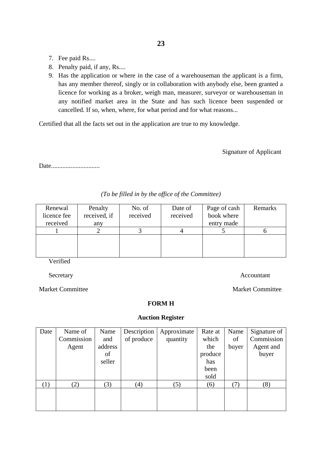- 7. Fee paid Rs....
- 8. Penalty paid, if any, Rs....
- 9. Has the application or where in the case of a warehouseman the applicant is a firm, licence for working as a broker, weigh man, measurer, surveyor or warehouseman in any notified market area in the State and has such licence been suspended or has any member thereof, singly or in collaboration with anybody else, been granted a cancelled. If so, when, where, for what period and for what reasons...

Certified that all the facts set out in the application are true to my knowledge.

Signature of Applicant

Date..............................

| Renewal<br>licence fee<br>received | Penalty<br>received, if<br>any | No. of<br>received | Date of<br>received | Page of cash<br>book where<br>entry made | Remarks |
|------------------------------------|--------------------------------|--------------------|---------------------|------------------------------------------|---------|
|                                    |                                |                    |                     |                                          |         |
|                                    |                                |                    |                     |                                          |         |

*(To be filled in by the office of the Committee)* 

Verified

Secretary Accountant

**Market Committee** 

**Market Committee** 

**FORM H**

#### **Auction Register**

| Date | Name of    | Name    | Description | Approximate | Rate at | Name  | Signature of |
|------|------------|---------|-------------|-------------|---------|-------|--------------|
|      | Commission | and     | of produce  | quantity    | which   | of    | Commission   |
|      | Agent      | address |             |             | the     | buyer | Agent and    |
|      |            | of      |             |             | produce |       | buyer        |
|      |            | seller  |             |             | has     |       |              |
|      |            |         |             |             | been    |       |              |
|      |            |         |             |             | sold    |       |              |
| (1)  | (2)        | (3)     | (4)         | (5)         | (6)     | (7)   | (8)          |
|      |            |         |             |             |         |       |              |
|      |            |         |             |             |         |       |              |
|      |            |         |             |             |         |       |              |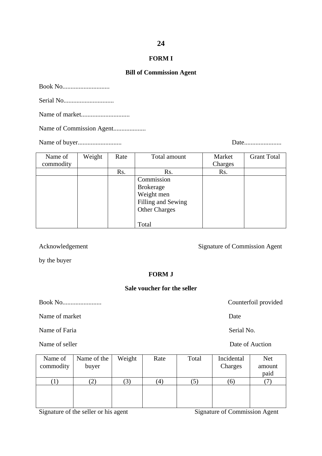#### **FORM I**

#### **Bill of Commission Agent**

Book No.............................

Serial No...............................

Name of market..............................

Name of Commission Agent....................

Name of buyer........................... Date.......................

| Name of   | Weight | Rate | Total amount         | Market  | <b>Grant Total</b> |
|-----------|--------|------|----------------------|---------|--------------------|
| commodity |        |      |                      | Charges |                    |
|           |        | Rs.  | Rs.                  | Rs.     |                    |
|           |        |      | Commission           |         |                    |
|           |        |      | <b>Brokerage</b>     |         |                    |
|           |        |      | Weight men           |         |                    |
|           |        |      | Filling and Sewing   |         |                    |
|           |        |      | <b>Other Charges</b> |         |                    |
|           |        |      |                      |         |                    |
|           |        |      | Total                |         |                    |

Acknowledgement

Signature of Commission Agent

by the buyer

#### **FORM J**

### **Sale voucher for the seller**

Book No........................ Counterfoil provided

Name of market Date

Name of Faria Serial No. Serial No.

Name of seller

| Name of   | Name of the       | Weight | Rate | Total   | Incidental | <b>Net</b> |
|-----------|-------------------|--------|------|---------|------------|------------|
| commodity | buyer             |        |      |         | Charges    | amount     |
|           |                   |        |      |         |            | paid       |
|           | $\left( 2\right)$ | 3      | (4)  | $\circ$ | (6)        |            |
|           |                   |        |      |         |            |            |
|           |                   |        |      |         |            |            |
|           |                   |        |      |         |            |            |

Signature of the seller or his agent Signature of Commission Agent

Date of Auction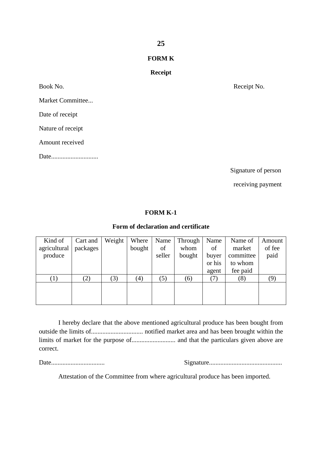# **25**

### **FORM K**

# **Receipt**

Book No.

Market Committee...

Date of receipt

Nature of receipt

Amount received

Date.............................

Receipt No.

Signature of person

receiving payment

# **FORM K-1**

# **Form of declaration and certificate**

| Kind of      | Cart and | Weight | Where  | Name   | Through | Name   | Name of   | Amount |
|--------------|----------|--------|--------|--------|---------|--------|-----------|--------|
| agricultural | packages |        | bought | of     | whom    | of     | market    | of fee |
| produce      |          |        |        | seller | bought  | buyer  | committee | paid   |
|              |          |        |        |        |         | or his | to whom   |        |
|              |          |        |        |        |         | agent  | fee paid  |        |
| (1)          | (2)      | (3)    | (4)    | (5)    | (6)     |        | (8)       | (9)    |
|              |          |        |        |        |         |        |           |        |
|              |          |        |        |        |         |        |           |        |
|              |          |        |        |        |         |        |           |        |

 I hereby declare that the above mentioned agricultural produce has been bought from outside the limits of................................ notified market area and has been brought within the limits of market for the purpose of........................... and that the particulars given above are correct.

Date................................. Signature.............................................

Attestation of the Committee from where agricultural produce has been imported.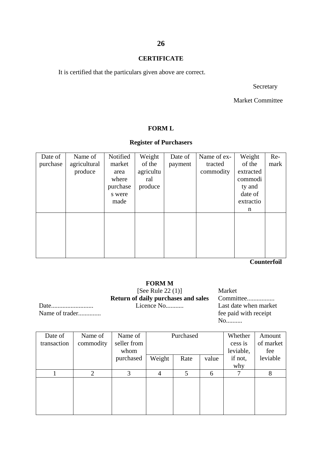#### **CERTIFICATE**

It is certified that the particulars given above are correct.

Secretary

Market Committee

#### **FORM L**

# **Register of Purchasers**

| Date of  | Name of      | Notified | Weight    | Date of | Name of ex- | Weight    | Re-  |
|----------|--------------|----------|-----------|---------|-------------|-----------|------|
| purchase | agricultural | market   | of the    | payment | tracted     | of the    | mark |
|          | produce      | area     | agricultu |         | commodity   | extracted |      |
|          |              | where    | ral       |         |             | commodi   |      |
|          |              | purchase | produce   |         |             | ty and    |      |
|          |              | s were   |           |         |             | date of   |      |
|          |              | made     |           |         |             | extractio |      |
|          |              |          |           |         |             | n         |      |
|          |              |          |           |         |             |           |      |
|          |              |          |           |         |             |           |      |
|          |              |          |           |         |             |           |      |
|          |              |          |           |         |             |           |      |
|          |              |          |           |         |             |           |      |
|          |              |          |           |         |             |           |      |

**Counterfoil** 

# **FORM M**

 [See Rule 22 (1)] Market **Return of daily purchases and sales** Committee.................

Name of trader..............

Date.......................... Licence No........... Last date when market No..........

| Date of<br>transaction | Name of<br>commodity | Name of<br>seller from<br>whom | Purchased      |      |       | Whether<br>cess is<br>leviable, | Amount<br>of market<br>fee |
|------------------------|----------------------|--------------------------------|----------------|------|-------|---------------------------------|----------------------------|
|                        |                      | purchased                      | Weight         | Rate | value | if not,<br>why                  | leviable                   |
|                        | $\overline{2}$       | 3                              | $\overline{4}$ | 5    | 6     | ⇁                               | 8                          |
|                        |                      |                                |                |      |       |                                 |                            |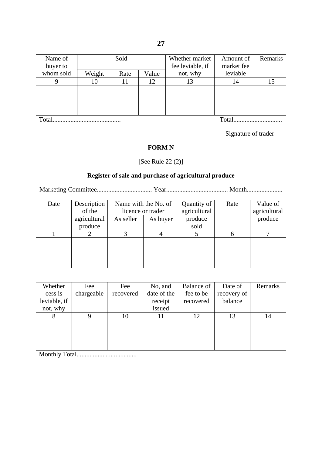| Name of   |        | Sold |       | Whether market   | Amount of  | Remarks |
|-----------|--------|------|-------|------------------|------------|---------|
| buyer to  |        |      |       | fee leviable, if | market fee |         |
| whom sold | Weight | Rate | Value | not, why         | leviable   |         |
|           | 10     |      | 12    | 13               | 14         | 15      |
|           |        |      |       |                  |            |         |
|           |        |      |       |                  |            |         |
|           |        |      |       |                  |            |         |
|           |        |      |       |                  |            |         |

Total.......................................... Total..............................

Signature of trader

# **FORM N**

[See Rule 22 (2)]

# **Register of sale and purchase of agricultural produce**

Marketing Committee.................................. Year...................................... Month......................

| Date | Description  | Name with the No. of |          | Quantity of  | Rate | Value of     |
|------|--------------|----------------------|----------|--------------|------|--------------|
|      | of the       | licence or trader    |          | agricultural |      | agricultural |
|      | agricultural | As seller            | As buyer | produce      |      | produce      |
|      | produce      |                      |          | sold         |      |              |
|      |              |                      |          |              | h    |              |
|      |              |                      |          |              |      |              |
|      |              |                      |          |              |      |              |
|      |              |                      |          |              |      |              |
|      |              |                      |          |              |      |              |

| Whether      | Fee        | Fee       | No, and     | Balance of | Date of     | Remarks |
|--------------|------------|-----------|-------------|------------|-------------|---------|
| cess is      | chargeable | recovered | date of the | fee to be  | recovery of |         |
| leviable, if |            |           | receipt     | recovered  | balance     |         |
| not, why     |            |           | issued      |            |             |         |
|              |            | 10        |             | 12         | 13          | 14      |
|              |            |           |             |            |             |         |
|              |            |           |             |            |             |         |
|              |            |           |             |            |             |         |
|              |            |           |             |            |             |         |

Monthly Total.....................................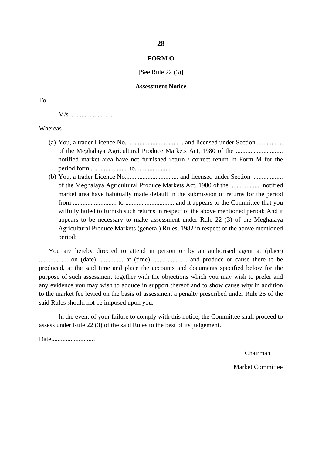#### **FORM O**

[See Rule 22 (3)]

#### **Assessment Notice**

M/s............................

Whereas—

- of the Meghalaya Agricultural Produce Markets Act, 1980 of the ............................. (a) You, a trader Licence No.................................... and licensed under Section................. notified market area have not furnished return / correct return in Form M for the period form ....................... to......................
- (b) You, a trader Licence No................................. and licensed under Section ................... of the Meghalaya Agricultural Produce Markets Act, 1980 of the ................... notified market area have habitually made default in the submission of returns for the period from ........................... to .............................. and it appears to the Committee that you wilfully failed to furnish such returns in respect of the above mentioned period; And it appears to be necessary to make assessment under Rule 22 (3) of the Meghalaya Agricultural Produce Markets (general) Rules, 1982 in respect of the above mentioned period:

 You are hereby directed to attend in person or by an authorised agent at (place) to the market fee levied on the basis of assessment a penalty prescribed under Rule 25 of the .................. on (date) ............... at (time) ..................... and produce or cause there to be produced, at the said time and place the accounts and documents specified below for the purpose of such assessment together with the objections which you may wish to prefer and any evidence you may wish to adduce in support thereof and to show cause why in addition said Rules should not be imposed upon you.

In the event of your failure to comply with this notice, the Committee shall proceed to assess under Rule 22 (3) of the said Rules to the best of its judgement.

Date...........................

Chairman Market Committee

#### **28**